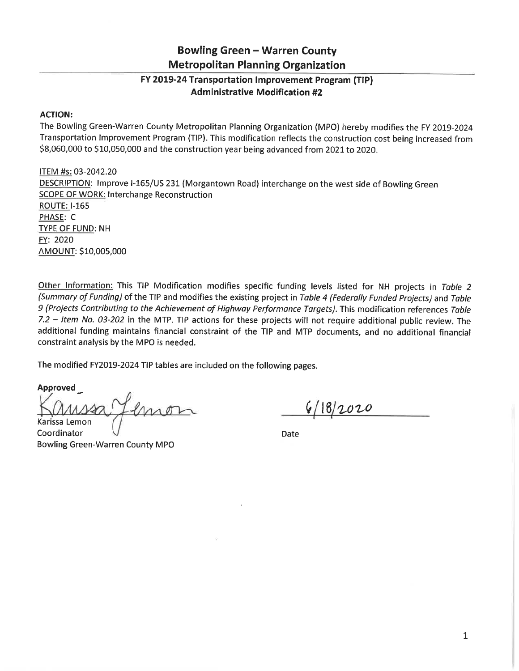## **Bowling Green - Warren County Metropolitan Planning Organization**

## FY 2019-24 Transportation Improvement Program (TIP) **Administrative Modification #2**

## **ACTION:**

The Bowling Green-Warren County Metropolitan Planning Organization (MPO) hereby modifies the FY 2019-2024 Transportation Improvement Program (TIP). This modification reflects the construction cost being increased from \$8,060,000 to \$10,050,000 and the construction year being advanced from 2021 to 2020.

ITEM #s: 03-2042.20 DESCRIPTION: Improve I-165/US 231 (Morgantown Road) interchange on the west side of Bowling Green **SCOPE OF WORK: Interchange Reconstruction ROUTE: I-165** PHASE: C **TYPE OF FUND: NH** FY: 2020 AMOUNT: \$10,005,000

Other Information: This TIP Modification modifies specific funding levels listed for NH projects in Table 2 (Summary of Funding) of the TIP and modifies the existing project in Table 4 (Federally Funded Projects) and Table 9 (Projects Contributing to the Achievement of Highway Performance Targets). This modification references Table 7.2 - Item No. 03-202 in the MTP. TIP actions for these projects will not require additional public review. The additional funding maintains financial constraint of the TIP and MTP documents, and no additional financial constraint analysis by the MPO is needed.

The modified FY2019-2024 TIP tables are included on the following pages.

Approved

Karissa Lemon

Coordinator **Bowling Green-Warren County MPO** 

 $6/18/2020$ 

Date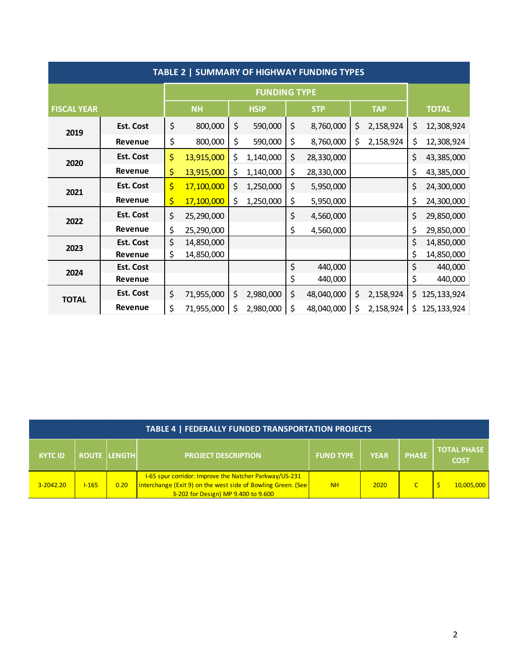| TABLE 2   SUMMARY OF HIGHWAY FUNDING TYPES |                  |           |                     |             |           |            |            |            |           |              |               |
|--------------------------------------------|------------------|-----------|---------------------|-------------|-----------|------------|------------|------------|-----------|--------------|---------------|
|                                            |                  |           | <b>FUNDING TYPE</b> |             |           |            |            |            |           |              |               |
| <b>FISCAL YEAR</b>                         |                  | <b>NH</b> |                     | <b>HSIP</b> |           | <b>STP</b> |            | <b>TAP</b> |           | <b>TOTAL</b> |               |
| 2019                                       | <b>Est. Cost</b> | \$        | 800,000             | \$          | 590,000   | \$         | 8,760,000  | \$         | 2,158,924 | \$           | 12,308,924    |
|                                            | Revenue          | \$        | 800,000             | \$          | 590,000   | \$         | 8,760,000  | \$         | 2,158,924 | \$           | 12,308,924    |
| 2020                                       | <b>Est. Cost</b> | \$        | 13,915,000          | \$          | 1,140,000 | \$         | 28,330,000 |            |           | \$           | 43,385,000    |
|                                            | Revenue          | \$        | 13,915,000          | \$          | 1,140,000 | \$         | 28,330,000 |            |           | \$           | 43,385,000    |
| 2021                                       | <b>Est. Cost</b> | \$        | 17,100,000          | \$          | 1,250,000 | \$         | 5,950,000  |            |           | \$           | 24,300,000    |
|                                            | Revenue          | \$        | 17,100,000          | \$          | 1,250,000 | \$         | 5,950,000  |            |           | \$           | 24,300,000    |
| 2022                                       | <b>Est. Cost</b> | \$        | 25,290,000          |             |           | \$         | 4,560,000  |            |           | \$           | 29,850,000    |
|                                            | Revenue          | \$        | 25,290,000          |             |           | \$         | 4,560,000  |            |           | \$           | 29,850,000    |
| 2023                                       | <b>Est. Cost</b> | \$        | 14,850,000          |             |           |            |            |            |           | \$           | 14,850,000    |
|                                            | Revenue          | \$        | 14,850,000          |             |           |            |            |            |           | \$           | 14,850,000    |
| 2024                                       | <b>Est. Cost</b> |           |                     |             |           | \$         | 440,000    |            |           | \$           | 440,000       |
|                                            | Revenue          |           |                     |             |           | \$         | 440,000    |            |           | \$           | 440,000       |
| <b>TOTAL</b>                               | <b>Est. Cost</b> | \$        | 71,955,000          | \$          | 2,980,000 | \$         | 48,040,000 | \$         | 2,158,924 | \$.          | 125, 133, 924 |
|                                            | Revenue          | \$        | 71,955,000          | \$          | 2,980,000 | \$         | 48,040,000 | \$         | 2,158,924 | \$.          | 125, 133, 924 |

| TABLE 4   FEDERALLY FUNDED TRANSPORTATION PROJECTS |              |               |                                                                                                                                                               |                  |             |              |                                   |  |  |
|----------------------------------------------------|--------------|---------------|---------------------------------------------------------------------------------------------------------------------------------------------------------------|------------------|-------------|--------------|-----------------------------------|--|--|
| <b>KYTC ID</b>                                     | <b>ROUTE</b> | <b>LENGTH</b> | <b>PROJECT DESCRIPTION</b>                                                                                                                                    | <b>FUND TYPE</b> | <b>YEAR</b> | <b>PHASE</b> | <b>TOTAL PHASE</b><br><b>COST</b> |  |  |
| $3 - 2042.20$                                      | $1 - 165$    | 0.20          | I-65 spur corridor: Improve the Natcher Parkway/US-231<br>interchange (Exit 9) on the west side of Bowling Green. (See<br>3-202 for Design) MP 9.400 to 9.600 | <b>NH</b>        | 2020        |              | 10,005,000                        |  |  |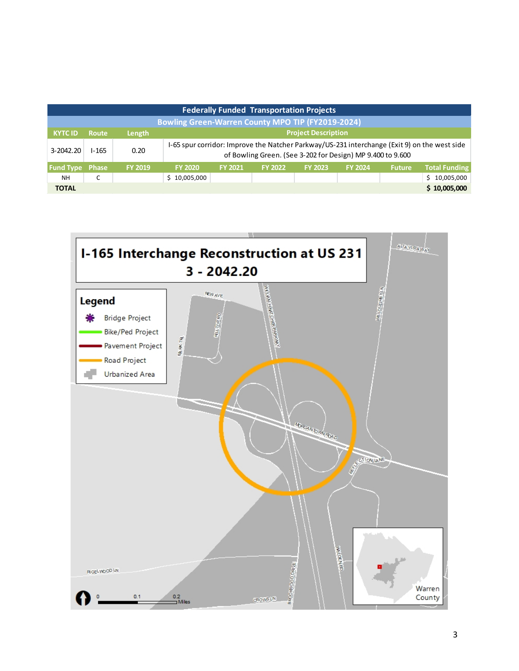| <b>Federally Funded Transportation Projects</b>   |              |                |                |                                                                                                                                                            |                |                |                |               |                  |  |  |  |
|---------------------------------------------------|--------------|----------------|----------------|------------------------------------------------------------------------------------------------------------------------------------------------------------|----------------|----------------|----------------|---------------|------------------|--|--|--|
| Bowling Green-Warren County MPO TIP (FY2019-2024) |              |                |                |                                                                                                                                                            |                |                |                |               |                  |  |  |  |
| <b>KYTC ID</b>                                    | <b>Route</b> | Length         |                | <b>Project Description</b>                                                                                                                                 |                |                |                |               |                  |  |  |  |
| 3-2042.20                                         | $1 - 165$    | 0.20           |                | I-65 spur corridor: Improve the Natcher Parkway/US-231 interchange (Exit 9) on the west side<br>of Bowling Green. (See 3-202 for Design) MP 9.400 to 9.600 |                |                |                |               |                  |  |  |  |
| <b>Fund Type Phase</b>                            |              | <b>FY 2019</b> | <b>FY 2020</b> | <b>FY 2021</b>                                                                                                                                             | <b>FY 2022</b> | <b>FY 2023</b> | <b>FY 2024</b> | <b>Future</b> | Total Funding    |  |  |  |
| <b>NH</b>                                         | J            |                | \$10,005,000   |                                                                                                                                                            |                |                |                |               | 10,005,000<br>S. |  |  |  |
| <b>TOTAL</b>                                      |              |                |                |                                                                                                                                                            |                |                |                |               | \$10,005,000     |  |  |  |